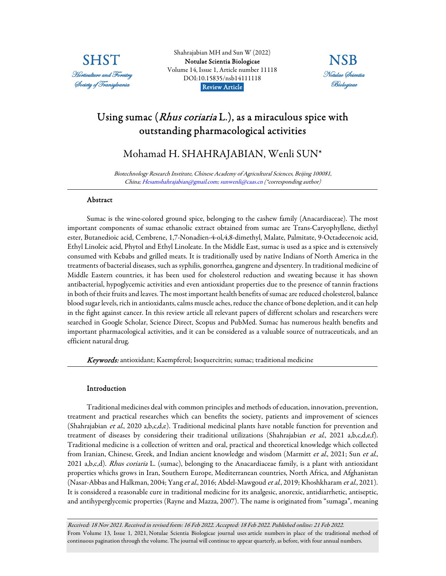

Shahrajabian MH and Sun W (2022) [Notulae Scientia Biologicae](https://www.notulaebiologicae.ro/index.php/nsb/index)  Volume 14, Issue 1, Article number 11118 DOI:10.15835/nsb14111118 Review Article.



# Using sumac (*Rhus coriaria* L.), as a miraculous spice with outstanding pharmacological activities

Mohamad H. SHAHRAJABIAN, Wenli SUN\*

Biotechnology Research Institute, Chinese Academy of Agricultural Sciences, Beijing 100081, China; Hesamshahrajabian@gmail.com; sunwenli@caas.cn (\*corresponding author)

#### Abstract

Sumac is the wine-colored ground spice, belonging to the cashew family (Anacardiaceae). The most important components of sumac ethanolic extract obtained from sumac are Trans-Caryophyllene, diethyl ester, Butanedioic acid, Cembrene, 1,7-Nonadien-4-ol,4,8-dimethyl, Malate, Palmitate, 9-Octadecenoic acid, Ethyl Linoleic acid, Phytol and Ethyl Linoleate. In the Middle East, sumac is used as a spice and is extensively consumed with Kebabs and grilled meats. It is traditionally used by native Indians of North America in the treatments of bacterial diseases, such as syphilis, gonorrhea, gangrene and dysentery. In traditional medicine of Middle Eastern countries, it has been used for cholesterol reduction and sweating because it has shown antibacterial, hypoglycemic activities and even antioxidant properties due to the presence of tannin fractions in both of their fruits and leaves. The most important health benefits of sumac are reduced cholesterol, balance blood sugar levels, rich in antioxidants, calms muscle aches, reduce the chance of bone depletion, and it can help in the fight against cancer. In this review article all relevant papers of different scholars and researchers were searched in Google Scholar, Science Direct, Scopus and PubMed. Sumac has numerous health benefits and important pharmacological activities, and it can be considered as a valuable source of nutraceuticals, and an efficient natural drug.

Keywords: antioxidant; Kaempferol; Isoquercitrin; sumac; traditional medicine

## Introduction

Traditional medicines deal with common principles and methods of education, innovation, prevention, treatment and practical researches which can benefits the society, patients and improvement of sciences (Shahrajabian et al., 2020 a,b,c,d,e). Traditional medicinal plants have notable function for prevention and treatment of diseases by considering their traditional utilizations (Shahrajabian et al., 2021 a,b,c,d,e,f). Traditional medicine is a collection of written and oral, practical and theoretical knowledge which collected from Iranian, Chinese, Greek, and Indian ancient knowledge and wisdom (Marmitt et al., 2021; Sun et al., 2021 a,b,c,d). Rhus coriaria L. (sumac), belonging to the Anacardiaceae family, is a plant with antioxidant properties whichs grows in Iran, Southern Europe, Mediterranean countries, North Africa, and Afghanistan (Nasar-Abbas and Halkman, 2004; Yang et al., 2016; Abdel-Mawgoud et al., 2019; Khoshkharam et al., 2021). It is considered a reasonable cure in traditional medicine for its analgesic, anorexic, antidiarrhetic, antiseptic, and antihyperglycemic properties (Rayne and Mazza, 2007). The name is originated from "sumaga", meaning

Received: 18 Nov 2021. Received in revised form: 16 Feb 2022. Accepted: 18 Feb 2022. Published online: 21 Feb 2022. From Volume 13, Issue 1, 2021, Notulae Scientia Biologicae journal uses article numbers in place of the traditional method of continuous pagination through the volume. The journal will continue to appear quarterly, as before, with four annual numbers.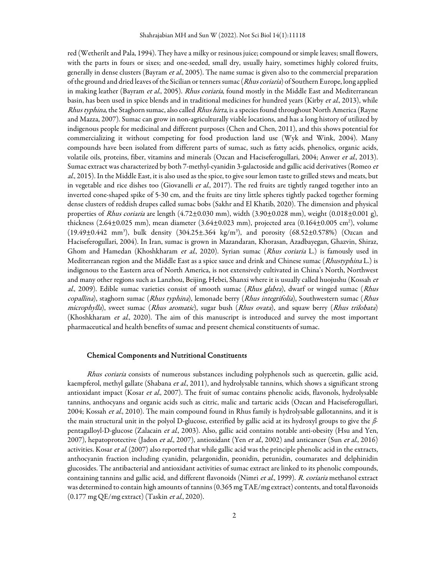red (Wetherilt and Pala, 1994). They have a milky or resinous juice; compound or simple leaves; small flowers, with the parts in fours or sixes; and one-seeded, small dry, usually hairy, sometimes highly colored fruits, generally in dense clusters (Bayram et al., 2005). The name sumac is given also to the commercial preparation of the ground and dried leaves of the Sicilian or tenners sumac (Rhus coriaria) of Southern Europe, long applied in making leather (Bayram et al., 2005). Rhus coriaria, found mostly in the Middle East and Mediterranean basin, has been used in spice blends and in traditional medicines for hundred years (Kirby *et al.*, 2013), while Rhus typhina, the Staghorn sumac, also called Rhus hirta, is a species found throughout North America (Rayne and Mazza, 2007). Sumac can grow in non-agriculturally viable locations, and has a long history of utilized by indigenous people for medicinal and different purposes (Chen and Chen, 2011), and this shows potential for commercializing it without competing for food production land use (Wyk and Wink, 2004). Many compounds have been isolated from different parts of sumac, such as fatty acids, phenolics, organic acids, volatile oils, proteins, fiber, vitamins and minerals (Ozcan and Haciseferogullari, 2004; Anwer et al., 2013). Sumac extract was characterized by both 7-methyl-cyanidin 3-galactoside and gallic acid derivatives (Romeo et al., 2015). In the Middle East, it is also used as the spice, to give sour lemon taste to grilled stews and meats, but in vegetable and rice dishes too (Giovanelli *et al.*, 2017). The red fruits are tightly ranged together into an inverted cone-shaped spike of 5-30 cm, and the fruits are tiny little spheres tightly packed together forming dense clusters of reddish drupes called sumac bobs (Sakhr and El Khatib, 2020). The dimension and physical properties of Rhus coriaria are length (4.72 $\pm$ 0.030 mm), width (3.90 $\pm$ 0.028 mm), weight (0.018 $\pm$ 0.001 g), thickness (2.64±0.025 mm), mean diameter (3.64±0.023 mm), projected area (0.164±0.005 cm<sup>2</sup>), volume (19.49±0.442 mm<sup>3</sup>), bulk density (304.25±.364 kg/m<sup>3</sup>), and porosity (68.52±0.578%) (Ozcan and Haciseferogullari, 2004). In Iran, sumac is grown in Mazandaran, Khorasan, Azadbayegan, Ghazvin, Shiraz, Ghom and Hamedan (Khoshkharam et al., 2020). Syrian sumac (Rhus coriaria L.) is famously used in Mediterranean region and the Middle East as a spice sauce and drink and Chinese sumac (Rhustyphina L.) is indigenous to the Eastern area of North America, is not extensively cultivated in China's North, Northwest and many other regions such as Lanzhou, Beijing, Hebei, Shanxi where it is usually called huojushu (Kossah et al., 2009). Edible sumac varieties consist of smooth sumac (*Rhus glabra*), dwarf or winged sumac (*Rhus* copallina), staghorn sumac (Rhus typhina), lemonade berry (Rhus integrifolia), Southwestern sumac (Rhus microphylla), sweet sumac (Rhus aromatic), sugar bush (Rhus ovata), and squaw berry (Rhus trilobata) (Khoshkharam et al., 2020). The aim of this manuscript is introduced and survey the most important pharmaceutical and health benefits of sumac and present chemical constituents of sumac.

#### Chemical Components and Nutritional Constituents

Rhus coriaria consists of numerous substances including polyphenols such as quercetin, gallic acid, kaempferol, methyl gallate (Shabana *et al.*, 2011), and hydrolysable tannins, which shows a significant strong antioxidant impact (Kosar et al., 2007). The fruit of sumac contains phenolic acids, flavonols, hydrolysable tannins, anthocyans and organic acids such as citric, malic and tartaric acids (Ozcan and Haciseferogullari, 2004; Kossah et al., 2010). The main compound found in Rhus family is hydrolysable gallotannins, and it is the main structural unit in the polyol D-glucose, esterified by gallic acid at its hydroxyl groups to give the βpentagalloyl-D-glucose (Zalacain et al., 2003). Also, gallic acid contains notable anti-obesity (Hsu and Yen, 2007), hepatoprotective (Jadon et al., 2007), antioxidant (Yen et al., 2002) and anticancer (Sun et al., 2016) activities. Kosar et al. (2007) also reported that while gallic acid was the principle phenolic acid in the extracts, anthocyanin fraction including cyanidin, pelargonidin, peonidin, petunidin, coumarates and delphinidin glucosides. The antibacterial and antioxidant activities of sumac extract are linked to its phenolic compounds, containing tannins and gallic acid, and different flavonoids (Nimri et al., 1999). R. coriaria methanol extract was determined to contain high amounts of tannins (0.365 mg TAE/mg extract) contents, and total flavonoids (0.177 mg QE/mg extract) (Taskin et al., 2020).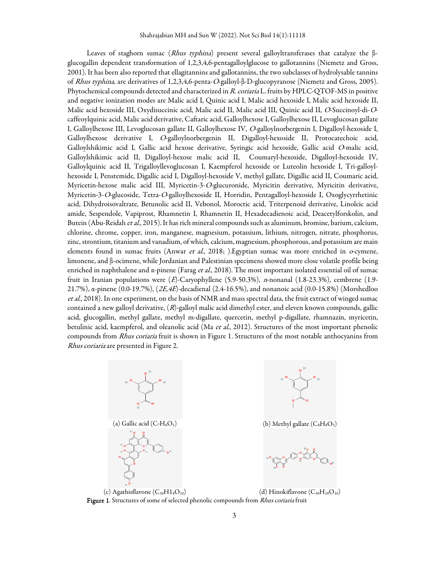Leaves of staghorn sumac (Rhus typhina) present several galloyltransferases that catalyze the βglucogallin dependent transformation of 1,2,3,4,6-pentagalloylglucose to gallotannins (Niemetz and Gross, 2001). It has been also reported that ellagitannins and gallotannins, the two subclasses of hydrolysable tannins of Rhus typhina, are derivatives of 1,2,3,4,6-penta-O-galloyl-β-D-glucopyranose (Niemetz and Gross, 2005). Phytochemical compounds detected and characterized in R. coriaria L. fruits by HPLC-QTOF-MS in positive and negative ionization modes are Malic acid I, Quinic acid I, Malic acid hexoside I, Malic acid hexoside II, Malic acid hexoside III, Oxydisuccinic acid, Malic acid II, Malic acid III, Quinic acid II, O-Succinoyl-di-Ocaffeoylquinic acid, Malic acid derivative, Caftaric acid, Galloylhexose I, Galloylhexose II, Levoglucosan gallate I, Galloylhexose III, Levoglucosan gallate II, Galloylhexose IV, O-galloylnorbergenin I, Digalloyl-hexoside I, Galloylhexose derivative I, O-galloylnorbergenin II, Digalloyl-hexoside II, Protocatechoic acid, Galloylshikimic acid I, Gallic acid hexose derivative, Syringic acid hexoside, Gallic acid O-malic acid, Galloylshikimic acid II, Digalloyl-hexose malic acid II, Coumaryl-hexoside, Digalloyl-hexoside IV, Galloylquinic acid II, Trigalloyllevoglucosan I, Kaempferol hexoside or Luteolin hexoside I, Tri-galloylhexoside I, Penstemide, Digallic acid I, Digalloyl-hexoside V, methyl gallate, Digallic acid II, Coumaric acid, Myricetin-hexose malic acid III, Myricetin-3-O-glucuronide, Myricitin derivative, Myricitin derivative, Myricetin-3-O-glucoside, Tetra-O-galloylhexoside II, Horridin, Pentagalloyl-hexoside I, Oxoglycyrrhetinic acid, Dihydroisovaltrate, Betunolic acid II, Vebonol, Moroctic acid, Triterpenoid derivative, Linoleic acid amide, Sespendole, Vapiprost, Rhamnetin I, Rhamnetin II, Hexadecadienoic acid, Deacetylforskolin, and Butein (Abu-Reidah et al., 2015). It has rich mineral compounds such as aluminum, bromine, barium, calcium, chlorine, chrome, copper, iron, manganese, magnesium, potassium, lithium, nitrogen, nitrate, phosphorus, zinc, strontium, titanium and vanadium, of which, calcium, magnesium, phosphorous, and potassium are main elements found in sumac fruits (Anwar et al., 2018; ). Egyptian sumac was more enriched in  $\sigma$ -cymene, limonene, and β-ocimene, while Jordanian and Palestinian specimens showed more close volatile profile being enriched in naphthalene and  $\alpha$ -pinene (Farag *et al.*, 2018). The most important isolated essential oil of sumac fruit in Iranian populations were (E)-Caryophyllene (5.9-50.3%), n-nonanal (1.8-23.3%), cembrene (1.9- 21.7%), α-pinene (0.0-19.7%), (2E,4E)-decadienal (2.4-16.5%), and nonanoic acid (0.0-15.8%) (Morshedloo et al., 2018). In one experiment, on the basis of NMR and mass spectral data, the fruit extract of winged sumac contained a new galloyl derivative, (R)-galloyl malic acid dimethyl ester, and eleven known compounds, gallic acid, glucogallin, methyl gallate, methyl m-digallate, quercetin, methyl p-digallate, rhamnazin, myricetin, betulinic acid, kaempferol, and oleanolic acid (Ma et al., 2012). Structures of the most important phenolic compounds from Rhus coriaria fruit is shown in Figure 1. Structures of the most notable anthocyanins from Rhus coriaria are presented in Figure 2.





(c) Agathisflavone  $(C_{30}H1_8O_{10})$  (d) Hinokiflavone  $(C_{30}H_{18}O_{10})$ Figure 1. Structures of some of selected phenolic compounds from Rhus coriaria fruit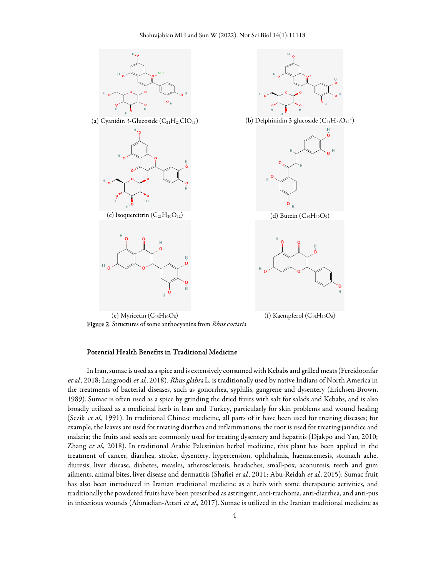



Figure 2. Structures of some anthocyanins from Rhus coriaria

## Potential Health Benefits in Traditional Medicine

In Iran, sumac is used as a spice and is extensively consumed with Kebabs and grilled meats (Fereidoonfar et al., 2018; Langroodi et al., 2018). Rhus glabra L. is traditionally used by native Indians of North America in the treatments of bacterial diseases, such as gonorrhea, syphilis, gangrene and dysentery (Erichsen-Brown, 1989). Sumac is often used as a spice by grinding the dried fruits with salt for salads and Kebabs, and is also broadly utilized as a medicinal herb in Iran and Turkey, particularly for skin problems and wound healing (Sezik et al., 1991). In traditional Chinese medicine, all parts of it have been used for treating diseases; for example, the leaves are used for treating diarrhea and inflammations; the root is used for treating jaundice and malaria; the fruits and seeds are commonly used for treating dysentery and hepatitis (Djakpo and Yao, 2010; Zhang et al., 2018). In traditional Arabic Palestinian herbal medicine, this plant has been applied in the treatment of cancer, diarrhea, stroke, dysentery, hypertension, ophthalmia, haematemesis, stomach ache, diuresis, liver disease, diabetes, measles, atherosclerosis, headaches, small-pox, aconuresis, teeth and gum ailments, animal bites, liver disease and dermatitis (Shafiei et al., 2011; Abu-Reidah et al., 2015). Sumac fruit has also been introduced in Iranian traditional medicine as a herb with some therapeutic activities, and traditionally the powdered fruits have been prescribed as astringent, anti-trachoma, anti-diarrhea, and anti-pus in infectious wounds (Ahmadian-Attari et al., 2017). Sumac is utilized in the Iranian traditional medicine as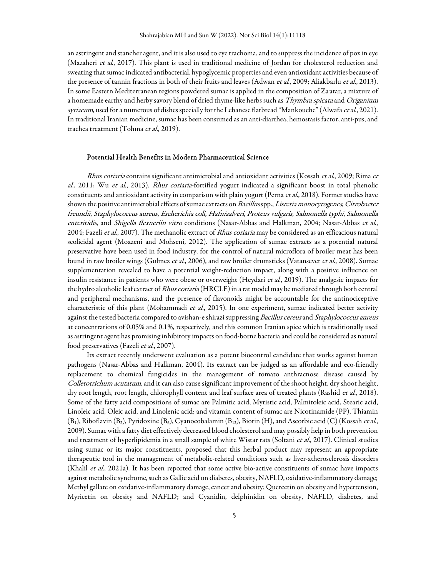an astringent and stancher agent, and it is also used to eye trachoma, and to suppress the incidence of pox in eye (Mazaheri et al., 2017). This plant is used in traditional medicine of Jordan for cholesterol reduction and sweating that sumac indicated antibacterial, hypoglycemic properties and even antioxidant activities because of the presence of tannin fractions in both of their fruits and leaves (Adwan *et al.*, 2009; Aliakbarlu *et al.*, 2013). In some Eastern Mediterranean regions powdered sumac is applied in the composition of Za<sup>,</sup>atar, a mixture of a homemade earthy and herby savory blend of dried thyme-like herbs such as *Thymbra spicata* and Origanium syriacum, used for a numerous of dishes specially for the Lebanese flatbread "Mankouche" (Alwafa et al., 2021). In traditional Iranian medicine, sumac has been consumed as an anti-diarrhea, hemostasis factor, anti-pus, and trachea treatment (Tohma et al., 2019).

#### Potential Health Benefits in Modern Pharmaceutical Science

Rhus coriaria contains significant antimicrobial and antioxidant activities (Kossah et al., 2009; Rima et al., 2011; Wu et al., 2013). Rhus coriaria-fortified yogurt indicated a significant boost in total phenolic constituents and antioxidant activity in comparison with plain yogurt (Perna et al., 2018). Former studies have shown the positive antimicrobial effects of sumac extracts on Bacillus spp., Listeria monocytogenes, Citrobacter freundii, Staphylococcus aureus, Escherichia coli, Hafniaalveri, Proteus vulgaris, Salmonella typhi, Salmonella enteritidis, and Shigella flexneriin vitro conditions (Nasar-Abbas and Halkman, 2004; Nasar-Abbas et al., 2004; Fazeli et al., 2007). The methanolic extract of Rhus coriaria may be considered as an efficacious natural scolicidal agent (Moazeni and Mohseni, 2012). The application of sumac extracts as a potential natural preservative have been used in food industry, for the control of natural microflora of broiler meat has been found in raw broiler wings (Gulmez et al., 2006), and raw broiler drumsticks (Vatansever et al., 2008). Sumac supplementation revealed to have a potential weight-reduction impact, along with a positive influence on insulin resistance in patients who were obese or overweight (Heydari et al., 2019). The analgesic impacts for the hydro alcoholic leaf extract of *Rhus coriaria* (HRCLE) in a rat model may be mediated through both central and peripheral mechanisms, and the presence of flavonoids might be accountable for the antinociceptive characteristic of this plant (Mohammadi et al., 2015). In one experiment, sumac indicated better activity against the tested bacteria compared to avishan-e shirazi suppressing Bacillus cereus and Staphylococcus aureus at concentrations of 0.05% and 0.1%, respectively, and this common Iranian spice which is traditionally used as astringent agent has promising inhibitory impacts on food-borne bacteria and could be considered as natural food preservatives (Fazeli *et al.*, 2007).

Its extract recently underwent evaluation as a potent biocontrol candidate that works against human pathogens (Nasar-Abbas and Halkman, 2004). Its extract can be judged as an affordable and eco-friendly replacement to chemical fungicides in the management of tomato anthracnose disease caused by Colletotrichum acutatum, and it can also cause significant improvement of the shoot height, dry shoot height, dry root length, root length, chlorophyll content and leaf surface area of treated plants (Rashid *et al.*, 2018). Some of the fatty acid compositions of sumac are Palmitic acid, Myristic acid, Palmitoleic acid, Stearic acid, Linoleic acid, Oleic acid, and Linolenic acid; and vitamin content of sumac are Nicotinamide (PP), Thiamin  $(B_1)$ , Riboflavin  $(B_2)$ , Pyridoxine  $(B_6)$ , Cyanocobalamin  $(B_{12})$ , Biotin  $(H)$ , and Ascorbic acid (C) (Kossah et al., 2009). Sumac with a fatty diet effectively decreased blood cholesterol and may possibly help in both prevention and treatment of hyperlipidemia in a small sample of white Wistar rats (Soltani et al., 2017). Clinical studies using sumac or its major constituents, proposed that this herbal product may represent an appropriate therapeutic tool in the management of metabolic-related conditions such as liver-atherosclerosis disorders (Khalil et al., 2021a). It has been reported that some active bio-active constituents of sumac have impacts against metabolic syndrome, such as Gallic acid on diabetes, obesity, NAFLD, oxidative-inflammatory damage; Methyl gallate on oxidative-inflammatory damage, cancer and obesity; Quercetin on obesity and hypertension, Myricetin on obesity and NAFLD; and Cyanidin, delphinidin on obesity, NAFLD, diabetes, and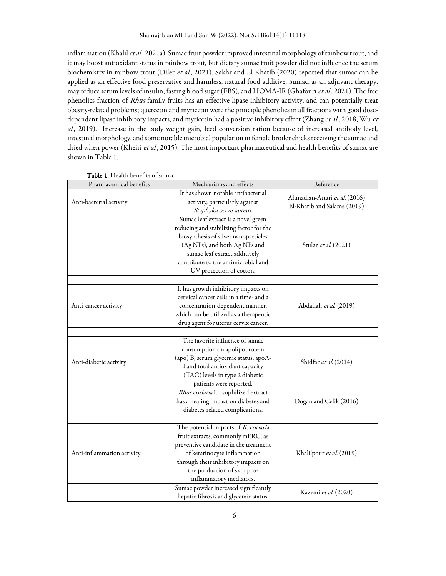inflammation (Khalil et al., 2021a). Sumac fruit powder improved intestinal morphology of rainbow trout, and it may boost antioxidant status in rainbow trout, but dietary sumac fruit powder did not influence the serum biochemistry in rainbow trout (Diler et al., 2021). Sakhr and El Khatib (2020) reported that sumac can be applied as an effective food preservative and harmless, natural food additive. Sumac, as an adjuvant therapy, may reduce serum levels of insulin, fasting blood sugar (FBS), and HOMA-IR (Ghafouri et al., 2021). The free phenolics fraction of Rhus family fruits has an effective lipase inhibitory activity, and can potentially treat obesity-related problems; quercetin and myricetin were the principle phenolics in all fractions with good dosedependent lipase inhibitory impacts, and myricetin had a positive inhibitory effect (Zhang et al., 2018; Wu et al., 2019). Increase in the body weight gain, feed conversion ration because of increased antibody level, intestinal morphology, and some notable microbial population in female broiler chicks receiving the sumac and dried when power (Kheiri et al., 2015). The most important pharmaceutical and health benefits of sumac are shown in Table 1.

| Pharmaceutical benefits    | Mechanisms and effects                                                                                                                                                                                                                                      | Reference                                                    |
|----------------------------|-------------------------------------------------------------------------------------------------------------------------------------------------------------------------------------------------------------------------------------------------------------|--------------------------------------------------------------|
| Anti-bacterial activity    | It has shown notable antibacterial<br>activity, particularly against<br>Staphylococcus aureus.                                                                                                                                                              | Ahmadian-Attari et al. (2016)<br>El-Khatib and Salame (2019) |
|                            | Sumac leaf extract is a novel green<br>reducing and stabilizing factor for the<br>biosynthesis of silver nanoparticles<br>(Ag NPs), and both Ag NPs and<br>sumac leaf extract additively<br>contribute to the antimicrobial and<br>UV protection of cotton. | Stular et al. (2021)                                         |
| Anti-cancer activity       | It has growth inhibitory impacts on<br>cervical cancer cells in a time- and a<br>concentration-dependent manner,<br>which can be utilized as a therapeutic<br>drug agent for uterus cervix cancer.                                                          | Abdallah et al. (2019)                                       |
| Anti-diabetic activity     | The favorite influence of sumac<br>consumption on apolipoprotein<br>(apo) B, serum glycemic status, apoA-<br>I and total antioxidant capacity<br>(TAC) levels in type 2 diabetic<br>patients were reported.                                                 | Shidfar et al. (2014)                                        |
|                            | Rhus coriaria L. lyophilized extract<br>has a healing impact on diabetes and<br>diabetes-related complications.                                                                                                                                             | Dogan and Celik (2016)                                       |
| Anti-inflammation activity | The potential impacts of R. coriaria<br>fruit extracts, commonly mERC, as<br>preventive candidate in the treatment<br>of keratinocyte inflammation<br>through their inhibitory impacts on<br>the production of skin pro-<br>inflammatory mediators.         | Khalilpour et al. (2019)                                     |
|                            | Sumac powder increased significantly<br>hepatic fibrosis and glycemic status.                                                                                                                                                                               | Kazemi et al. (2020)                                         |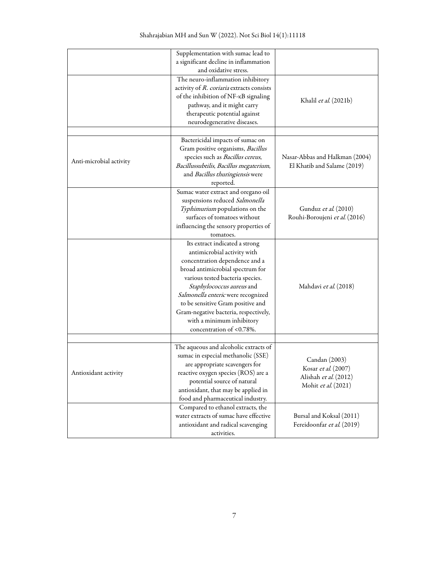|                         | Supplementation with sumac lead to        |                                |
|-------------------------|-------------------------------------------|--------------------------------|
|                         | a significant decline in inflammation     |                                |
|                         | and oxidative stress.                     |                                |
|                         | The neuro-inflammation inhibitory         |                                |
|                         | activity of R. coriaria extracts consists |                                |
|                         | of the inhibition of NF-KB signaling      |                                |
|                         | pathway, and it might carry               | Khalil et al. (2021b)          |
|                         | therapeutic potential against             |                                |
|                         | neurodegenerative diseases.               |                                |
|                         |                                           |                                |
|                         | Bactericidal impacts of sumac on          |                                |
| Anti-microbial activity | Gram positive organisms, Bacillus         |                                |
|                         | species such as Bacillus cereus,          | Nasar-Abbas and Halkman (2004) |
|                         | Bacillussubtilis, Bacillus megaterium,    | El Khatib and Salame (2019)    |
|                         | and Bacillus thuringiensis were           |                                |
|                         | reported.                                 |                                |
|                         | Sumac water extract and oregano oil       |                                |
|                         | suspensions reduced Salmonella            |                                |
|                         | Typhimurium populations on the            | Gunduz et al. (2010)           |
|                         | surfaces of tomatoes without              | Rouhi-Boroujeni et al. (2016)  |
|                         |                                           |                                |
|                         | influencing the sensory properties of     |                                |
|                         | tomatoes.                                 |                                |
|                         | Its extract indicated a strong            |                                |
|                         | antimicrobial activity with               |                                |
|                         | concentration dependence and a            |                                |
|                         | broad antimicrobial spectrum for          |                                |
|                         | various tested bacteria species.          |                                |
|                         | Staphylococcus aureus and                 | Mahdavi et al. (2018)          |
|                         | Salmonella enteric were recognized        |                                |
|                         | to be sensitive Gram positive and         |                                |
|                         | Gram-negative bacteria, respectively,     |                                |
|                         | with a minimum inhibitory                 |                                |
|                         | concentration of <0.78%.                  |                                |
|                         |                                           |                                |
| Antioxidant activity    | The aqueous and alcoholic extracts of     |                                |
|                         | sumac in especial methanolic (SSE)        | Candan (2003)                  |
|                         | are appropriate scavengers for            | Kosar et al. (2007)            |
|                         | reactive oxygen species (ROS) are a       | Alishah et al. (2012)          |
|                         | potential source of natural               |                                |
|                         | antioxidant, that may be applied in       | Mohit et al. (2021)            |
|                         | food and pharmaceutical industry.         |                                |
|                         | Compared to ethanol extracts, the         |                                |
|                         | water extracts of sumac have effective    | Bursal and Koksal (2011)       |
|                         | antioxidant and radical scavenging        | Fereidoonfar et al. (2019)     |
|                         | activities.                               |                                |
|                         |                                           |                                |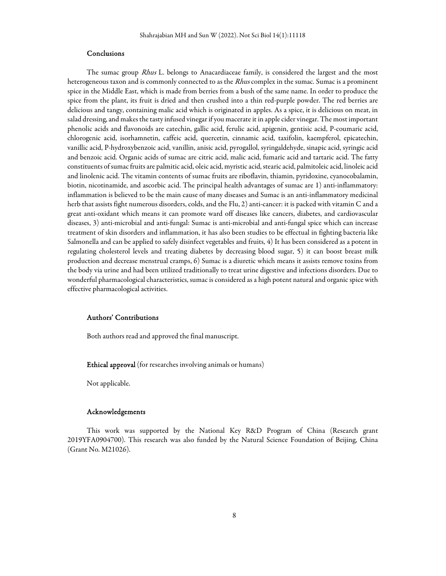## Conclusions

The sumac group *Rhus* L. belongs to Anacardiaceae family, is considered the largest and the most heterogeneous taxon and is commonly connected to as the *Rhus* complex in the sumac. Sumac is a prominent spice in the Middle East, which is made from berries from a bush of the same name. In order to produce the spice from the plant, its fruit is dried and then crushed into a thin red-purple powder. The red berries are delicious and tangy, containing malic acid which is originated in apples. As a spice, it is delicious on meat, in salad dressing, and makes the tasty infused vinegar if you macerate it in apple cider vinegar. The most important phenolic acids and flavonoids are catechin, gallic acid, ferulic acid, apigenin, gentisic acid, P-coumaric acid, chlorogenic acid, isorhamnetin, caffeic acid, quercetin, cinnamic acid, taxifolin, kaempferol, epicatechin, vanillic acid, P-hydroxybenzoic acid, vanillin, anisic acid, pyrogallol, syringaldehyde, sinapic acid, syringic acid and benzoic acid. Organic acids of sumac are citric acid, malic acid, fumaric acid and tartaric acid. The fatty constituents of sumac fruits are palmitic acid, oleic acid, myristic acid, stearic acid, palmitoleic acid, linoleic acid and linolenic acid. The vitamin contents of sumac fruits are riboflavin, thiamin, pyridoxine, cyanocobalamin, biotin, nicotinamide, and ascorbic acid. The principal health advantages of sumac are 1) anti-inflammatory: inflammation is believed to be the main cause of many diseases and Sumac is an anti-inflammatory medicinal herb that assists fight numerous disorders, colds, and the Flu, 2) anti-cancer: it is packed with vitamin C and a great anti-oxidant which means it can promote ward off diseases like cancers, diabetes, and cardiovascular diseases, 3) anti-microbial and anti-fungal: Sumac is anti-microbial and anti-fungal spice which can increase treatment of skin disorders and inflammation, it has also been studies to be effectual in fighting bacteria like Salmonella and can be applied to safely disinfect vegetables and fruits, 4) It has been considered as a potent in regulating cholesterol levels and treating diabetes by decreasing blood sugar, 5) it can boost breast milk production and decrease menstrual cramps, 6) Sumac is a diuretic which means it assists remove toxins from the body via urine and had been utilized traditionally to treat urine digestive and infections disorders. Due to wonderful pharmacological characteristics, sumac is considered as a high potent natural and organic spice with effective pharmacological activities.

## Authors' Contributions

Both authors read and approved the final manuscript.

Ethical approval (for researches involving animals or humans)

Not applicable.

#### Acknowledgements

This work was supported by the National Key R&D Program of China (Research grant 2019YFA0904700). This research was also funded by the Natural Science Foundation of Beijing, China (Grant No. M21026).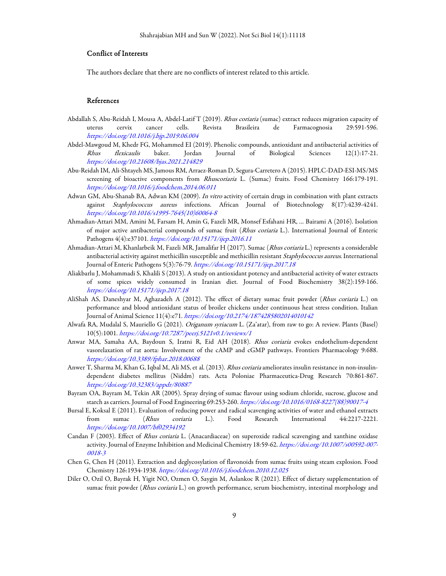#### Conflict of Interests

The authors declare that there are no conflicts of interest related to this article.

## References

- Abdallah S, Abu-Reidah I, Mousa A, Abdel-Latif T (2019). Rhus coriaria (sumac) extract reduces migration capacity of uterus cervix cancer cells. Revista Brasileira de Farmacognosia 29:591-596. https://doi.org/10.1016/j.bjp.2019.06.004
- Abdel-Mawgoud M, Khedr FG, Mohammed EI (2019). Phenolic compounds, antioxidant and antibacterial activities of Rhus flexicaulis baker. Jordan Journal of Biological Sciences 12(1):17-21. https://doi.org/10.21608/bjas.2021.214829
- Abu-Reidah IM, Ali-Shtayeh MS, Jamous RM, Arraez-Roman D, Segura-Carretero A (2015). HPLC-DAD-ESI-MS/MS screening of bioactive components from Rhuscoriaria L. (Sumac) fruits. Food Chemistry 166:179-191. https://doi.org/10.1016/j.foodchem.2014.06.011
- Adwan GM, Abu-Shanab BA, Adwan KM (2009). In vitro activity of certain drugs in combination with plant extracts against Staphylococcus aureus infections. African Journal of Biotechnology 8(17):4239-4241. https://doi.org/10.1016/s1995-7645(10)60064-8
- Ahmadian-Attari MM, Amini M, Farsam H, Amin G, Fazeli MR, Monsef Esfahani HR, … Bairami A (2016). Isolation of major active antibacterial compounds of sumac fruit (Rhus coriaria L.). International Journal of Enteric Pathogens 4(4):e37101. https://doi.org/10.15171/ijep.2016.11
- Ahmadian-Attari M, Khanlarbeik M, Fazeli MR, Jamalifar H (2017). Sumac (Rhus coriaria L.) represents a considerable antibacterial activity against methicillin susceptible and methicillin resistant Staphylococcus aureus. International Journal of Enteric Pathogens 5(3):76-79. https://doi.org/10.15171/ijep.2017.18
- Aliakbarlu J, Mohammadi S, Khalili S (2013). A study on antioxidant potency and antibacterial activity of water extracts of some spices widely consumed in Iranian diet. Journal of Food Biochemistry 38(2):159-166. https://doi.org/10.15171/ijep.2017.18
- AliShah AS, Daneshyar M, Aghazadeh A (2012). The effect of dietary sumac fruit powder (Rhus coriaria L.) on performance and blood antioxidant status of broiler chickens under continuous heat stress condition. Italian Journal of Animal Science 11(4):e71. https://doi.org/10.2174/1874285802014010142
- Alwafa RA, Mudalal S, Mauriello G (2021). Origanum syriacum L. (Za'atar), from raw to go: A review. Plants (Basel) 10(5):1001. https://doi.org/10.7287/peerj.5121v0.1/reviews/1
- Anwar MA, Samaha AA, Baydoun S, Iratni R, Eid AH (2018). Rhus coriaria evokes endothelium-dependent vasorelaxation of rat aorta: Involvement of the cAMP and cGMP pathways. Frontiers Pharmacology 9:688. https://doi.org/10.3389/fphar.2018.00688
- Anwer T, Sharma M, Khan G, Iqbal M, Ali MS, et al. (2013). Rhus coriaria ameliorates insulin resistance in non-insulindependent diabetes mellitus (Niddm) rats. Acta Poloniae Pharmaceutica-Drug Research 70:861-867. https://doi.org/10.32383/appdr/80887
- Bayram OA, Bayram M, Tekin AR (2005). Spray drying of sumac flavour using sodium chloride, sucrose, glucose and starch as carriers. Journal of Food Engineering 69:253-260. https://doi.org/10.1016/0168-8227(88)90017-4
- Bursal E, Koksal E (2011). Evaluation of reducing power and radical scavenging activities of water and ethanol extracts from sumac (Rhus coriaria L.). Food Research International 44:2217-2221. https://doi.org/10.1007/bf02934192
- Candan F (2003). Effect of Rhus coriaria L. (Anacardiaceae) on superoxide radical scavenging and xanthine oxidase activity. Journal of Enzyme Inhibition and Medicinal Chemistry 18:59-62. https://doi.org/10.1007/s00592-007- 0018-3
- Chen G, Chen H (2011). Extraction and deglycosylation of flavonoids from sumac fruits using steam explosion. Food Chemistry 126:1934-1938. https://doi.org/10.1016/j.foodchem.2010.12.025
- Diler O, Ozil O, Bayrak H, Yigit NO, Ozmen O, Saygin M, Aslankoc R (2021). Effect of dietary supplementation of sumac fruit powder (Rhus coriaria L.) on growth performance, serum biochemistry, intestinal morphology and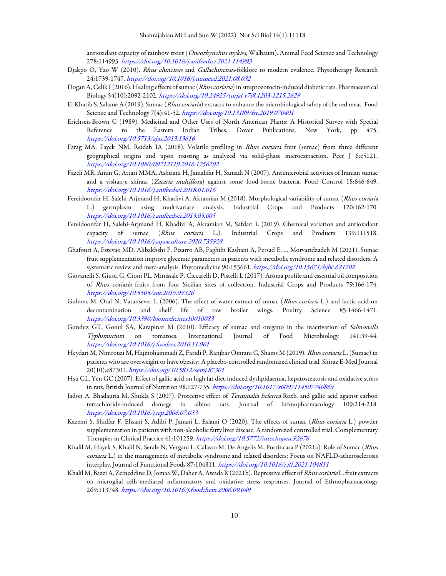antioxidant capacity of rainbow trout (Oncorhynchus mykiss, Walbaum). Animal Feed Science and Technology 278:114993. https://doi.org/10.1016/j.anifeedsci.2021.114993

- Djakpo O, Yao W (2010). Rhus chinensis and Gallachinensis-folklore to modern evidence. Phytotherapy Research 24:1739-1747. https://doi.org/10.1016/j.numecd.2021.08.032
- Dogan A, Celik I (2016). Healing effects of sumac (Rhus coriaria) in streptozotocin-induced diabetic rats. Pharmaceutical Biology 54(10):2092-2102. https://doi.org/10.24925/turjaf.v7i8.1203-1215.2629
- El Khatib S, Salame A (2019). Sumac (Rhus coriaria) extracts to enhance the microbiological safety of the red meat. Food Science and Technology 7(4):41-52. https://doi.org/10.13189/fst.2019.070401
- Erichsen-Brown C (1989). Medicinal and Other Uses of North American Plants: A Historical Survey with Special Reference to the Eastern Indian Tribes. Dover Publications, New York, pp 475. https://doi.org/10.5713/ajas.2013.13616
- Farag MA, Fayek NM, Reidah IA (2018). Volatile profiling in Rhus coriaria fruit (sumac) from three different geographical origins and upon roasting as analyzed via solid-phase microextraction. Peer J 6:e5121. https://doi.org/10.1080/09712119.2016.1256292
- Fazeli MR, Amin G, Attari MMA, Ashtiani H, Jamalifar H, Samadi N (2007). Antimicrobial activities of Iranian sumac and a vishan-e shirazi (Zataria multiflora) against some food-borne bacteria. Food Control 18:646-649. https://doi.org/10.1016/j.anifeedsci.2018.01.016
- Fereidoonfar H, Salehi-Arjmand H, Khadivi A, Akramian M (2018). Morphological variability of sumac (Rhus coriaria L.) germplasm using multivariate analysis. Industrial Crops and Products 120:162-170. https://doi.org/10.1016/j.anifeedsci.2013.05.005
- Fereidoonfar H, Salehi-Arjmand H, Khadivi A, Akramian M, Safdari L (2019). Chemical variation and antioxidant capacity of sumac (Rhus coriaria L.). Industrial Crops and Products 139:111518. https://doi.org/10.1016/j.aquaculture.2020.735928
- Ghafouri A, Estevao MD, Alibakhshi P, Pizarro AB, Faghihi Kashani A, Persad E, … Morvaridzadeh M (2021). Sumac fruit supplementation improve glycemic parameters in patients with metabolic syndrome and related disorders: A systematic review and meta-analysis. Phytomedicine 90:153661. https://doi.org/10.15671/hjbc.621202
- Giovanelli S, Giusti G, Cioni PL, Minissale P, Ciccarelli D, Pistelli L (2017). Aroma profile and essential oil composition of Rhus coriaria fruits from four Sicilian sites of collection. Industrial Crops and Products 79:166-174. https://doi.org/10.5505/aot.2019.09326
- Gulmez M, Oral N, Vatansever L (2006). The effect of water extract of sumac (Rhus coriaria L.) and lactic acid on decontamination and shelf life of raw broiler wings. Poultry Science 85:1466-1471. https://doi.org/10.3390/biomedicines10010083
- Gunduz GT, Gonul SA, Karapinar M (2010). Efficacy of sumac and oregano in the inactivation of Salmonella Typhimurium on tomatoes. International Journal of Food Microbiology 141:39-44. https://doi.org/10.1016/j.foodres.2010.11.001
- Heydari M, Nimrouzi M, Hajmohammadi Z, Faridi P, Ranjbar Omrani G, Shams M (2019). Rhus coriaria L. (Sumac) in patients who are overweight or have obesity: A placebo-controlled randomized clinical trial. Shiraz E-Med Journal 20(10):e87301. https://doi.org/10.5812/semj.87301
- Hsu CL, Yen GC (2007). Effect of gallic acid on high fat diet-induced dyslipidaemia, hepatosteatosis and oxidative stress in rats. British Journal of Nutrition 98:727-735. https://doi.org/10.1017/s000711450774686x
- Jadon A, Bhadauria M, Shukla S (2007). Protective effect of Terminalia belerica Roxb. and gallic acid against carbon tetrachloride-induced damage in albino rats. Journal of Ethnopharmacology 109:214-218. https://doi.org/10.1016/j.jep.2006.07.033
- Kazemi S, Shidfar F, Ehsani S, Adibi P, Janani L, Eslami O (2020). The effects of sumac (Rhus coriaria L.) powder supplementation in patients with non-alcoholic fatty liver disease: A randomized controlled trial. Complementary Therapies in Clinical Practice 41:101259. https://doi.org/10.5772/intechopen.92676
- Khalil M, Hayek S, Khalil N, Serale N, Vergani L, Calasso M, De Angelis M, Portincasa P (2021a). Role of Sumac (Rhus coriaria L.) in the management of metabolic syndrome and related disorders: Focus on NAFLD-atherosclerosis interplay. Journal of Functional Foods 87:104811. https://doi.org/10.1016/j.jff.2021.104811
- Khalil M, Bazzi A, Zeineddine D, Jomaa W, Daher A, Awada R (2021b). Repressive effect of Rhus coriaria L. fruit extracts on microglial cells-mediated inflammatory and oxidative stress responses. Journal of Ethnopharmacology 269:113748. https://doi.org/10.1016/j.foodchem.2006.09.049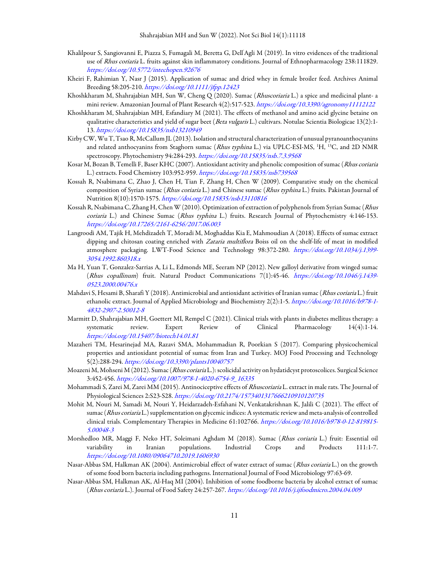- Khalilpour S, Sangiovanni E, Piazza S, Fumagali M, Beretta G, Dell'Agli M (2019). In vitro evidences of the traditional use of Rhus coriaria L. fruits against skin inflammatory conditions. Journal of Ethnopharmacology 238:111829. https://doi.org/10.5772/intechopen.92676
- Kheiri F, Rahimian Y, Nasr J (2015). Application of sumac and dried whey in female broiler feed. Archives Animal Breeding 58:205-210. https://doi.org/10.1111/jfpp.12423
- Khoshkharam M, Shahrajabian MH, Sun W, Cheng Q (2020). Sumac (Rhuscoriaria L.) a spice and medicinal plant- a mini review. Amazonian Journal of Plant Research 4(2):517-523. https://doi.org/10.3390/agronomy11112122
- Khoshkharam M, Shahrajabian MH, Esfandiary M (2021). The effects of methanol and amino acid glycine betaine on qualitative characteristics and yield of sugar beet (Beta vulgaris L.) cultivars. Notulae Scientia Biologicae 13(2):1-13. https://doi.org/10.15835/nsb13210949
- Kirby CW, Wu T, Tsao R, McCallum JL (2013). Isolation and structural characterization of unusual pyranoanthocyanins and related anthocyanins from Staghorn sumac (Rhus typhina L.) via UPLC-ESI-MS, <sup>1</sup>H, <sup>13</sup>C, and 2D NMR spectroscopy. Phytochemistry 94:284-293. https://doi.org/10.15835/nsb.7.3.9568
- Kosar M, Bozan B, Temelli F, Baser KHC (2007). Antioxidant activity and phenolic composition of sumac (Rhus coriaria L.) extracts. Food Chemistry 103:952-959. https://doi.org/10.15835/nsb739568
- Kossah R, Nsabimana C, Zhao J, Chen H, Tian F, Zhang H, Chen W (2009). Comparative study on the chemical composition of Syrian sumac (Rhus coriaria L.) and Chinese sumac (Rhus typhina L.) fruits. Pakistan Journal of Nutrition 8(10):1570-1575. https://doi.org/10.15835/nsb13110816
- Kossah R, Nsabimana C, Zhang H, Chen W (2010). Optimization of extraction of polyphenols from Syrian Sumac (Rhus coriaria L.) and Chinese Sumac (Rhus typhina L.) fruits. Research Journal of Phytochemistry 4:146-153. https://doi.org/10.17265/2161-6256/2017.06.003
- Langroodi AM, Tajik H, Mehdizadeh T, Moradi M, Moghaddas Kia E, Mahmoudian A (2018). Effects of sumac extract dipping and chitosan coating enriched with Zataria multiflora Boiss oil on the shelf-life of meat in modified atmosphere packaging. LWT-Food Science and Technology 98:372-280. https://doi.org/10.1034/j.1399- 3054.1992.860318.x
- Ma H, Yuan T, Gonzalez-Sarrias A, Li L, Edmonds ME, Seeram NP (2012). New galloyl derivative from winged sumac (Rhus copallinum) fruit. Natural Product Communications 7(1):45-46. https://doi.org/10.1046/j.1439- 0523.2000.00476.x
- Mahdavi S, Hesami B, Sharafi Y (2018). Antimicrobial and antioxidant activities of Iranian sumac (Rhus coriaria L.) fruit ethanolic extract. Journal of Applied Microbiology and Biochemistry 2(2):1-5. https://doi.org/10.1016/b978-1- 4832-2907-2.50012-8
- Marmitt D, Shahrajabian MH, Goettert MI, Rempel C (2021). Clinical trials with plants in diabetes mellitus therapy: a systematic review. Expert Review of Clinical Pharmacology 14(4):1-14. https://doi.org/10.15407/biotech14.01.81
- Mazaheri TM, Hesarinejad MA, Razavi SMA, Mohammadian R, Poorkian S (2017). Comparing physicochemical properties and antioxidant potential of sumac from Iran and Turkey. MOJ Food Processing and Technology 5(2):288-294. https://doi.org/10.3390/plants10040757
- Moazeni M, Mohseni M (2012). Sumac (Rhus coriaria L.): scolicidal activity on hydatidcyst protoscolices. Surgical Science 3:452-456. https://doi.org/10.1007/978-1-4020-6754-9\_16335
- Mohammadi S, Zarei M, Zarei MM (2015). Antinociceptive effects of Rhuscoriaria L. extract in male rats. The Journal of Physiological Sciences 2:S23-S28. https://doi.org/10.2174/1573401317666210910120735
- Mohit M, Nouri M, Samadi M, Nouri Y, Heidarzadeh-Esfahani N, Venkatakrishnan K, Jalili C (2021). The effect of sumac (Rhus coriaria L.) supplementation on glycemic indices: A systematic review and meta-analysis of controlled clinical trials. Complementary Therapies in Medicine 61:102766. https://doi.org/10.1016/b978-0-12-819815- 5.00048-3
- Morshedloo MR, Maggi F, Neko HT, Soleimani Aghdam M (2018). Sumac (Rhus coriaria L.) fruit: Essential oil variability in Iranian populations. Industrial Crops and Products 111:1-7. https://doi.org/10.1080/09064710.2019.1606930
- Nasar-Abbas SM, Halkman AK (2004). Antimicrobial effect of water extract of sumac (Rhus coriaria L.) on the growth of some food born bacteria including pathogens. International Journal of Food Microbiology 97:63-69.
- Nasar-Abbas SM, Halkman AK, Al-Haq MI (2004). Inhibition of some foodborne bacteria by alcohol extract of sumac (Rhus coriaria L.). Journal of Food Safety 24:257-267. https://doi.org/10.1016/j.ijfoodmicro.2004.04.009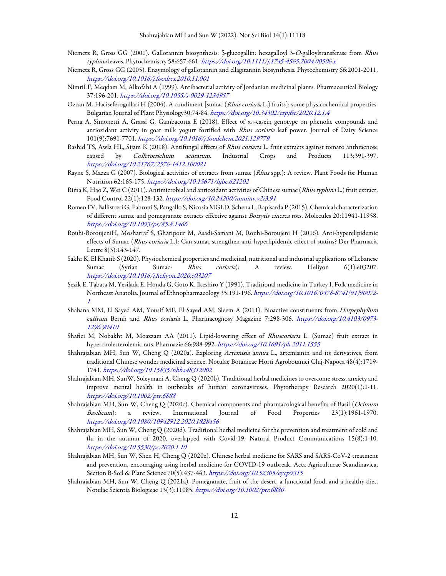- Niemetz R, Gross GG (2001). Gallotannin biosynthesis: β-glucogallin: hexagalloyl 3-O-galloyltransferase from Rhus typhina leaves. Phytochemistry 58:657-661. https://doi.org/10.1111/j.1745-4565.2004.00506.x
- Niemetz R, Gross GG (2005). Enzymology of gallotannin and ellagitannin biosynthesis. Phytochemistry 66:2001-2011. https://doi.org/10.1016/j.foodres.2010.11.001
- NimriLF, Meqdam M, Alkofahi A (1999). Antibacterial activity of Jordanian medicinal plants. Pharmaceutical Biology 37:196-201. https://doi.org/10.1055/s-0029-1234957
- Ozcan M, Haciseferogullari H (2004). A condiment [sumac (Rhus coriaria L.) fruits]: some physicochemical properties. Bulgarian Journal of Plant Physiology30:74-84. https://doi.org/10.34302/crpjfst/2020.12.1.4
- Perna A, Simonetti A, Grassi G, Gambacorta E (2018). Effect of  $\alpha_{s1}$ -casein genotype on phenolic compounds and antioxidant activity in goat milk yogurt fortified with *Rhus coriaria* leaf power. Journal of Dairy Science 101(9):7691-7701. https://doi.org/10.1016/j.foodchem.2021.129779
- Rashid TS, Awla HL, Sijam K (2018). Antifungal effects of Rhus coriaria L. fruit extracts against tomato anthracnose caused by Colletotrichum acutatum. Industrial Crops and Products 113:391-397. https://doi.org/10.21767/2576-1412.100021
- Rayne S, Mazza G (2007). Biological activities of extracts from sumac (Rhus spp.): A review. Plant Foods for Human Nutrition 62:165-175. https://doi.org/10.15671/hjbc.621202
- Rima K, Hao Z, Wei C (2011). Antimicrobial and antioxidant activities of Chinese sumac (Rhus typhina L.) fruit extract. Food Control 22(1):128-132. https://doi.org/10.24200/imminv.v2i3.91
- Romeo FV, Ballistreri G, Fabroni S, Pangallo S, Nicosia MGLD, Schena L, Rapisarda P (2015). Chemical characterization of different sumac and pomegranate extracts effective against Botrytis cinerea rots. Molecules 20:11941-11958. https://doi.org/10.1093/ps/85.8.1466
- Rouhi-BoroujeniH, Mosharraf S, Gharipour M, Asadi-Samani M, Rouhi-Boroujeni H (2016). Anti-hyperelipidemic effects of Sumac (Rhus coriaria L.): Can sumac strengthen anti-hyperlipidemic effect of statins? Der Pharmacia Lettre 8(3):143-147.
- Sakhr K, El Khatib S (2020). Physiochemical properties and medicinal, nutritional and industrial applications of Lebanese Sumac (Syrian Sumac- Rhus coriaria): A review. Heliyon 6(1):e03207. https://doi.org/10.1016/j.heliyon.2020.e03207
- Sezik E, Tabata M, Yesilada E, Honda G, Goto K, Ikeshiro Y (1991). Traditional medicine in Turkey I. Folk medicine in Northeast Anatolia. Journal of Ethnopharmacology 35:191-196. https://doi.org/10.1016/0378-8741(91)90072- 1
- Shabana MM, El Sayed AM, Yousif MF, El Sayed AM, Sleem A (2011). Bioactive constituents from Harpephyllum caffrum Bernh and Rhus coriaria L. Pharmacognosy Magazine 7:298-306. https://doi.org/10.4103/0973-1296.90410
- Shafiei M, Nobakht M, Moazzam AA (2011). Lipid-lowering effect of Rhuscoriaria L. (Sumac) fruit extract in hypercholesterolemic rats. Pharmazie 66:988-992. https://doi.org/10.1691/ph.2011.1555
- Shahrajabian MH, Sun W, Cheng Q (2020a). Exploring Artemisia annua L., artemisinin and its derivatives, from traditional Chinese wonder medicinal science. Notulae Botanicae Horti Agrobotanici Cluj-Napoca 48(4):1719- 1741. https://doi.org/10.15835/nbha48312002
- Shahrajabian MH, SunW, Soleymani A, Cheng Q (2020b). Traditional herbal medicines to overcome stress, anxiety and improve mental health in outbreaks of human coronaviruses. Phytotherapy Research 2020(1):1-11. https://doi.org/10.1002/ptr.6888
- Shahrajabian MH, Sun W, Cheng Q (2020c). Chemical components and pharmacological benefits of Basil (Ocimum Basilicum): a review. International Journal of Food Properties 23(1):1961-1970. https://doi.org/10.1080/10942912.2020.1828456
- Shahrajabian MH, Sun W, Cheng Q (2020d). Traditional herbal medicine for the prevention and treatment of cold and flu in the autumn of 2020, overlapped with Covid-19. Natural Product Communications 15(8):1-10. https://doi.org/10.5530/pc.2020.1.10
- Shahrajabian MH, Sun W, Shen H, Cheng Q (2020e). Chinese herbal medicine for SARS and SARS-CoV-2 treatment and prevention, encouraging using herbal medicine for COVID-19 outbreak. Acta Agriculturae Scandinavica, Section B-Soil & Plant Science 70(5):437-443. https://doi.org/10.52305/eycp9315
- Shahrajabian MH, Sun W, Cheng Q (2021a). Pomegranate, fruit of the desert, a functional food, and a healthy diet. Notulae Scientia Biologicae 13(3):11085. https://doi.org/10.1002/ptr.6880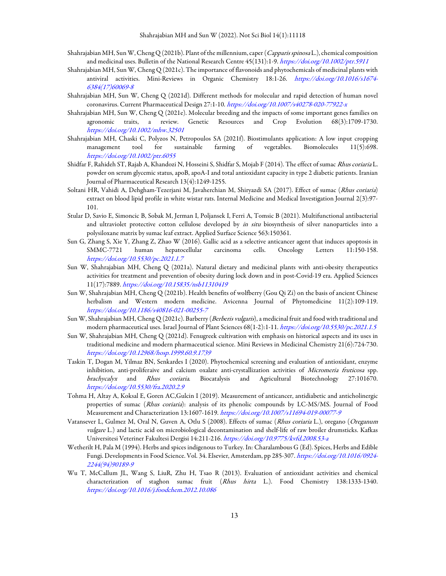- Shahrajabian MH, Sun W, Cheng Q (2021b). Plant of the millennium, caper (Capparis spinosa L.), chemical composition and medicinal uses. Bulletin of the National Research Centre 45(131):1-9. https://doi.org/10.1002/ptr.5911
- Shahrajabian MH, Sun W, Cheng Q (2021c). The importance of flavonoids and phytochemicals of medicinal plants with antiviral activities. Mini-Reviews in Organic Chemistry 18:1-26. https://doi.org/10.1016/s1674- 6384(17)60069-8
- Shahrajabian MH, Sun W, Cheng Q (2021d). Different methods for molecular and rapid detection of human novel coronavirus. Current Pharmaceutical Design 27:1-10. https://doi.org/10.1007/s40278-020-77922-x
- Shahrajabian MH, Sun W, Cheng Q (2021e). Molecular breeding and the impacts of some important genes families on agronomic traits, a review. Genetic Resources and Crop Evolution 68(3):1709-1730. https://doi.org/10.1002/mhw.32501
- Shahrajabian MH, Chaski C, Polyzos N, Petropoulos SA (2021f). Biostimulants application: A low input cropping management tool for sustainable farming of vegetables. Biomolecules 11(5):698. https://doi.org/10.1002/ptr.6055
- Shidfar F, Rahideh ST, Rajab A, Khandozi N, Hosseini S, Shidfar S, Mojab F (2014). The effect of sumac Rhus coriaria L. powder on serum glycemic status, apoB, apoA-I and total antioxidant capacity in type 2 diabetic patients. Iranian Journal of Pharmaceutical Research 13(4):1249-1255.
- Soltani HR, Vahidi A, Dehgham-Tezerjani M, Javaherchian M, Shiryazdi SA (2017). Effect of sumac (Rhus coriaria) extract on blood lipid profile in white wistar rats. Internal Medicine and Medical Investigation Journal 2(3):97- 101.
- Stular D, Savio E, Simoncic B, Sobak M, Jerman I, Poljansek I, Ferri A, Tomsic B (2021). Multifunctional antibacterial and ultraviolet protective cotton cellulose developed by in situ biosynthesis of silver nanoparticles into a polysiloxane matrix by sumac leaf extract. Applied Surface Science 563:150361.
- Sun G, Zhang S, Xie Y, Zhang Z, Zhao W (2016). Gallic acid as a selective anticancer agent that induces apoptosis in SMMC-7721 human hepatocellular carcinoma cells. Oncology Letters 11:150-158. https://doi.org/10.5530/pc.2021.1.7
- Sun W, Shahrajabian MH, Cheng Q (2021a). Natural dietary and medicinal plants with anti-obesity therapeutics activities for treatment and prevention of obesity during lock down and in post-Covid-19 era. Applied Sciences 11(17):7889. https://doi.org/10.15835/nsb11310419
- Sun W, Shahrajabian MH, Cheng Q (2021b). Health benefits of wolfberry (Gou Qi Zi) on the basis of ancient Chinese herbalism and Western modern medicine. Avicenna Journal of Phytomedicine 11(2):109-119. https://doi.org/10.1186/s40816-021-00255-7
- Sun W, Shahrajabian MH, Cheng Q (2021c). Barberry (Berberis vulgaris), a medicinal fruit and food with traditional and modern pharmaceutical uses. Israel Journal of Plant Sciences 68(1-2):1-11. https://doi.org/10.5530/pc.2021.1.5
- Sun W, Shahrajabian MH, Cheng Q (2021d). Fenugreek cultivation with emphasis on historical aspects and its uses in traditional medicine and modern pharmaceutical science. Mini Reviews in Medicinal Chemistry 21(6):724-730. https://doi.org/10.12968/hosp.1999.60.9.1739
- Taskin T, Dogan M, Yilmaz BN, Senkardes I (2020). Phytochemical screening and evaluation of antioxidant, enzyme inhibition, anti-proliferaive and calcium oxalate anti-crystallization activities of Micromeria fruticosa spp. brachycalyx and Rhus coriaria. Biocatalysis and Agricultural Biotechnology 27:101670. https://doi.org/10.5530/fra.2020.2.9
- Tohma H, Altay A, Koksal E, Goren AC,Gulcin I (2019). Measurement of anticancer, antidiabetic and anticholinergic properties of sumac (Rhus coriaria): analysis of its phenolic compounds by LC-MS/MS. Journal of Food Measurement and Characterization 13:1607-1619. https://doi.org/10.1007/s11694-019-00077-9
- Vatansever L, Gulmez M, Oral N, Guven A, Otlu S (2008). Effects of sumac (Rhus coriaria L.), oregano (Oreganum vulgare L.) and lactic acid on microbiological decontamination and shelf-life of raw broiler drumsticks. Kafkas Universitesi Veteriner Fakultesi Dergisi 14:211-216. https://doi.org/10.9775/kvfd.2008.53-a
- Wetherilt H, Pala M (1994). Herbs and spices indigenous to Turkey. In: Charalambous G (Ed). Spices, Herbs and Edible Fungi. Developments in Food Science. Vol. 34. Elsevier, Amsterdam, pp 285-307. https://doi.org/10.1016/0924- 2244(94)90189-9
- Wu T, McCallum JL, Wang S, LiuR, Zhu H, Tsao R (2013). Evaluation of antioxidant activities and chemical characterization of staghon sumac fruit (Rhus hirta L.). Food Chemistry 138:1333-1340. https://doi.org/10.1016/j.foodchem.2012.10.086